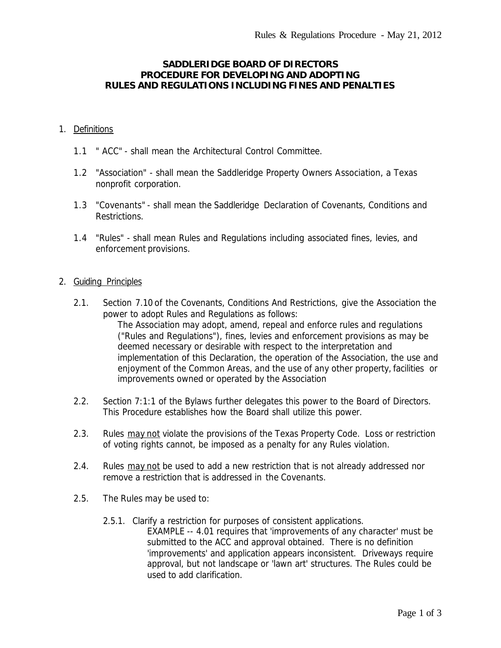## **SADDLERIDGE BOARD OF DIRECTORS PROCEDURE FOR DEVELOPING AND ADOPTING RULES AND REGULATIONS INCLUDING FINES AND PENALTIES**

#### 1. Definitions

- 1.1 " ACC" shall mean the Architectural Control Committee*.*
- 1.2 "Association" shall mean the Saddleridge Property Owners Association, a Texas nonprofit corporation.
- 1.3 "Covenants" shall mean the Saddleridge *Declaration of Covenants, Conditions and Restrictions.*
- 1.4 "Rules" shall mean Rules and Regulations including associated fines, levies, and enforcement provisions.

#### 2. Guiding Principles

- 2.1. Section 7.10 of the *Covenants, Conditions And Restrictions,* give the Association the power to adopt Rules and Regulations as follows: *The Association may adopt, amend, repeal and enforce rules and regulations ("Rules and Regulations"), fines, levies and enforcement provisions as may be deemed necessary or desirable with respect to the interpretation and implementation of this Declaration, the operation of the Association, the use and enjoyment of the Common Areas, and the use of any other property, facilities or improvements owned or operated by the Association*
- 2.2. Section 7:1:1 of the Bylaws further delegates this power to the Board of Directors. This Procedure establishes how the Board shall utilize this power.
- 2.3. Rules may not violate the provisions of the Texas Property Code. Loss or restriction of voting rights cannot, be imposed as a penalty for any Rules violation.
- 2.4. Rules may not be used to add a new restriction that is not already addressed nor remove a restriction that is addressed in the Covenants.
- 2.5. The Rules may be used to:
	- 2.5.1. Clarify a restriction for purposes of consistent applications. EXAMPLE -- 4.01 requires that 'improvements of any character' must be submitted to the ACC and approval obtained. There is no definition 'improvements' and application appears inconsistent. Driveways require approval, but not landscape or 'lawn art' structures. The Rules could be used to add clarification.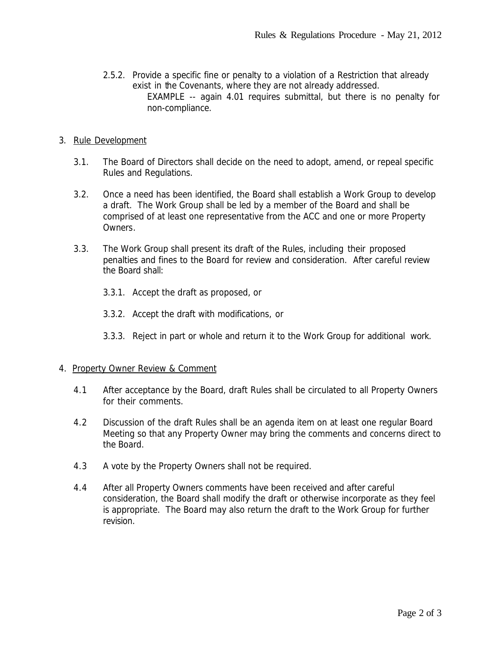2.5.2. Provide a specific fine or penalty to a violation of a Restriction that already exist in the Covenants, where they are not already addressed. EXAMPLE -- again 4.01 requires submittal, but there is no penalty for non-compliance.

## 3. Rule Development

- 3.1. The Board of Directors shall decide on the need to adopt, amend, or repeal specific Rules and Regulations.
- 3.2. Once a need has been identified, the Board shall establish a Work Group to develop a draft. The Work Group shall be led by a member of the Board and shall be comprised of at least one representative from the ACC and one or more Property Owners.
- 3.3. The Work Group shall present its draft of the Rules, including their proposed penalties and fines to the Board for review and consideration. After careful review the Board shall:
	- 3.3.1. Accept the draft as proposed, or
	- 3.3.2. Accept the draft with modifications, or
	- 3.3.3. Reject in part or whole and return it to the Work Group for additional work.

# 4. Property Owner Review & Comment

- 4.1 After acceptance by the Board, draft Rules shall be circulated to all Property Owners for their comments.
- 4.2 Discussion of the draft Rules shall be an agenda item on at least one regular Board Meeting so that any Property Owner may bring the comments and concerns direct to the Board.
- 4.3 A vote by the Property Owners shall not be required.
- 4.4 After all Property Owners comments have been received and after careful consideration, the Board shall modify the draft or otherwise incorporate as they feel is appropriate. The Board may also return the draft to the Work Group for further revision.